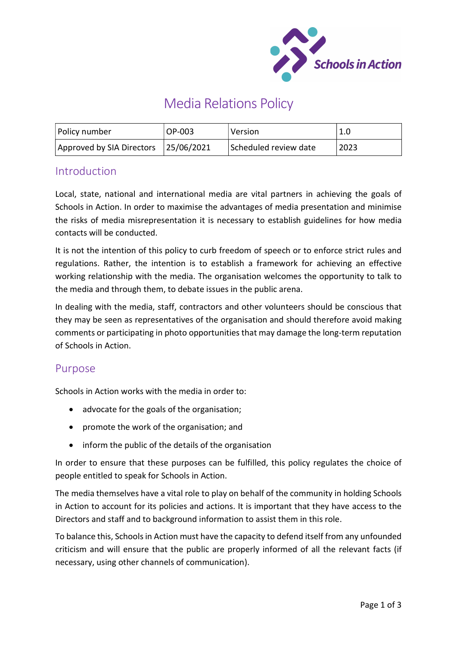

# Media Relations Policy

| Policy number                        | OP-003 | Version               | 1.0  |
|--------------------------------------|--------|-----------------------|------|
| Approved by SIA Directors 25/06/2021 |        | Scheduled review date | 2023 |

### **Introduction**

Local, state, national and international media are vital partners in achieving the goals of Schools in Action. In order to maximise the advantages of media presentation and minimise the risks of media misrepresentation it is necessary to establish guidelines for how media contacts will be conducted.

It is not the intention of this policy to curb freedom of speech or to enforce strict rules and regulations. Rather, the intention is to establish a framework for achieving an effective working relationship with the media. The organisation welcomes the opportunity to talk to the media and through them, to debate issues in the public arena.

In dealing with the media, staff, contractors and other volunteers should be conscious that they may be seen as representatives of the organisation and should therefore avoid making comments or participating in photo opportunities that may damage the long-term reputation of Schools in Action.

#### Purpose

Schools in Action works with the media in order to:

- advocate for the goals of the organisation;
- promote the work of the organisation; and
- inform the public of the details of the organisation

In order to ensure that these purposes can be fulfilled, this policy regulates the choice of people entitled to speak for Schools in Action.

The media themselves have a vital role to play on behalf of the community in holding Schools in Action to account for its policies and actions. It is important that they have access to the Directors and staff and to background information to assist them in this role.

To balance this, Schools in Action must have the capacity to defend itself from any unfounded criticism and will ensure that the public are properly informed of all the relevant facts (if necessary, using other channels of communication).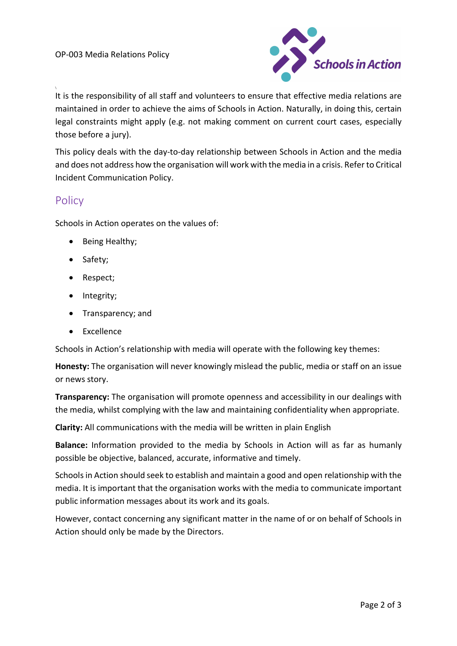

It is the responsibility of all staff and volunteers to ensure that effective media relations are maintained in order to achieve the aims of Schools in Action. Naturally, in doing this, certain legal constraints might apply (e.g. not making comment on current court cases, especially those before a jury).

This policy deals with the day-to-day relationship between Schools in Action and the media and does not address how the organisation will work with the media in a crisis. Refer to Critical Incident Communication Policy.

## **Policy**

\

Schools in Action operates on the values of:

- Being Healthy;
- Safety;
- Respect;
- Integrity;
- Transparency; and
- Excellence

Schools in Action's relationship with media will operate with the following key themes:

Honesty: The organisation will never knowingly mislead the public, media or staff on an issue or news story.

**Transparency:** The organisation will promote openness and accessibility in our dealings with the media, whilst complying with the law and maintaining confidentiality when appropriate.

Clarity: All communications with the media will be written in plain English

Balance: Information provided to the media by Schools in Action will as far as humanly possible be objective, balanced, accurate, informative and timely.

Schools in Action should seek to establish and maintain a good and open relationship with the media. It is important that the organisation works with the media to communicate important public information messages about its work and its goals.

However, contact concerning any significant matter in the name of or on behalf of Schools in Action should only be made by the Directors.